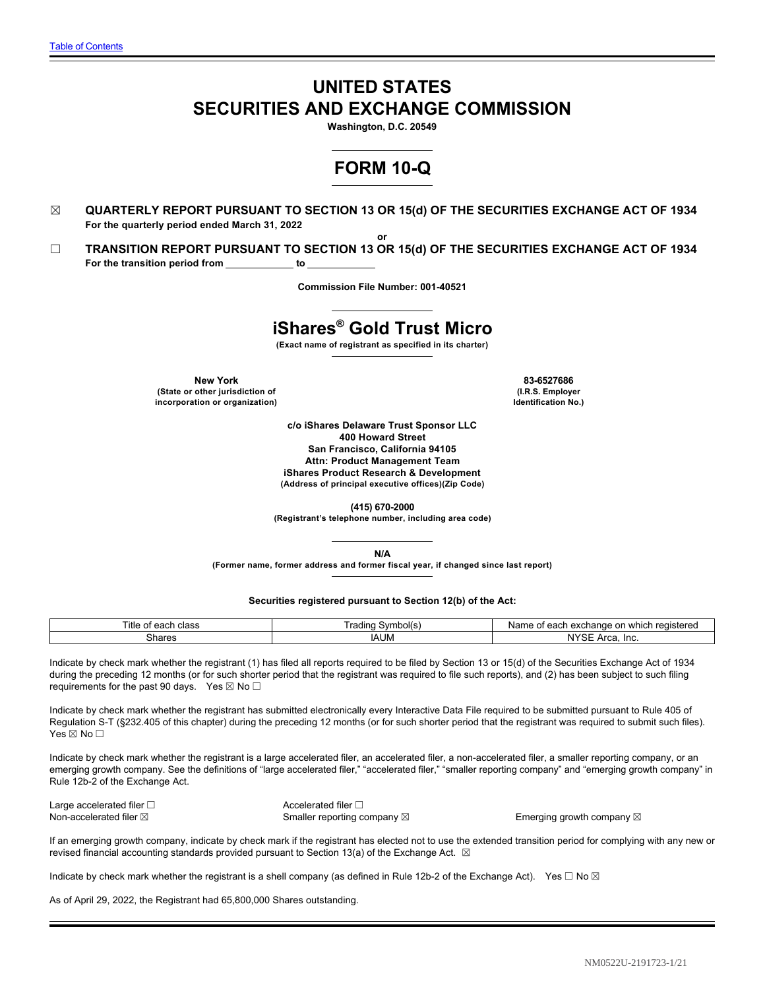# **UNITED STATES SECURITIES AND EXCHANGE COMMISSION**

**Washington, D.C. 20549**

# **FORM 10-Q**

- ☒ **QUARTERLY REPORT PURSUANT TO SECTION 13 OR 15(d) OF THE SECURITIES EXCHANGE ACT OF 1934 For the quarterly period ended March 31, 2022 or**
- ☐ **TRANSITION REPORT PURSUANT TO SECTION 13 OR 15(d) OF THE SECURITIES EXCHANGE ACT OF 1934** For the transition period from **black c** to

**Commission File Number: 001-40521**

# **iShares® Gold Trust Micro**

**(Exact name of registrant as specified in its charter)**

**New York 83-6527686 (State or other jurisdiction of incorporation or organization)**

**(I.R.S. Employer Identification No.)**

**c/o iShares Delaware Trust Sponsor LLC 400 Howard Street San Francisco, California 94105 Attn: Product Management Team iShares Product Research & Development (Address of principal executive offices)(Zip Code)**

**(415) 670-2000**

**(Registrant's telephone number, including area code)**

**N/A**

**(Former name, former address and former fiscal year, if changed since last report)**

**Securities registered pursuant to Section 12(b) of the Act:**

| Title<br>class<br>$\sim$<br>cau.<br>ັ | Symbol(s)<br>I rading | $\sim$<br>າ reaistered<br>exchange<br>Name<br>111<br>.000 <sub>r</sub><br>$\sim$<br>: UI<br>eau<br>υı<br>,,,,,,<br><b>VV</b> |
|---------------------------------------|-----------------------|------------------------------------------------------------------------------------------------------------------------------|
| hares:<br>.                           | <b>IAUM</b>           | N120<br>. Inc<br>$\mathbf{v}$<br>IM :<br>ञ⊏<br>AI Ca.                                                                        |

Indicate by check mark whether the registrant (1) has filed all reports required to be filed by Section 13 or 15(d) of the Securities Exchange Act of 1934 during the preceding 12 months (or for such shorter period that the registrant was required to file such reports), and (2) has been subject to such filing requirements for the past 90 days. Yes  $\boxtimes$  No $\Box$ 

Indicate by check mark whether the registrant has submitted electronically every Interactive Data File required to be submitted pursuant to Rule 405 of Regulation S-T (§232.405 of this chapter) during the preceding 12 months (or for such shorter period that the registrant was required to submit such files). Yes ⊠ No □

Indicate by check mark whether the registrant is a large accelerated filer, an accelerated filer, a non-accelerated filer, a smaller reporting company, or an emerging growth company. See the definitions of "large accelerated filer," "accelerated filer," "smaller reporting company" and "emerging growth company" in Rule 12b-2 of the Exchange Act.

Large accelerated filer □ <br>
Accelerated filer □

Non-accelerated filer ⊠ **Smaller reporting company** ⊠ Been Emerging growth company **⊠** 

If an emerging growth company, indicate by check mark if the registrant has elected not to use the extended transition period for complying with any new or revised financial accounting standards provided pursuant to Section 13(a) of the Exchange Act.  $\boxtimes$ 

Indicate by check mark whether the registrant is a shell company (as defined in Rule 12b-2 of the Exchange Act). Yes  $\Box$  No  $\boxtimes$ 

As of April 29, 2022, the Registrant had 65,800,000 Shares outstanding.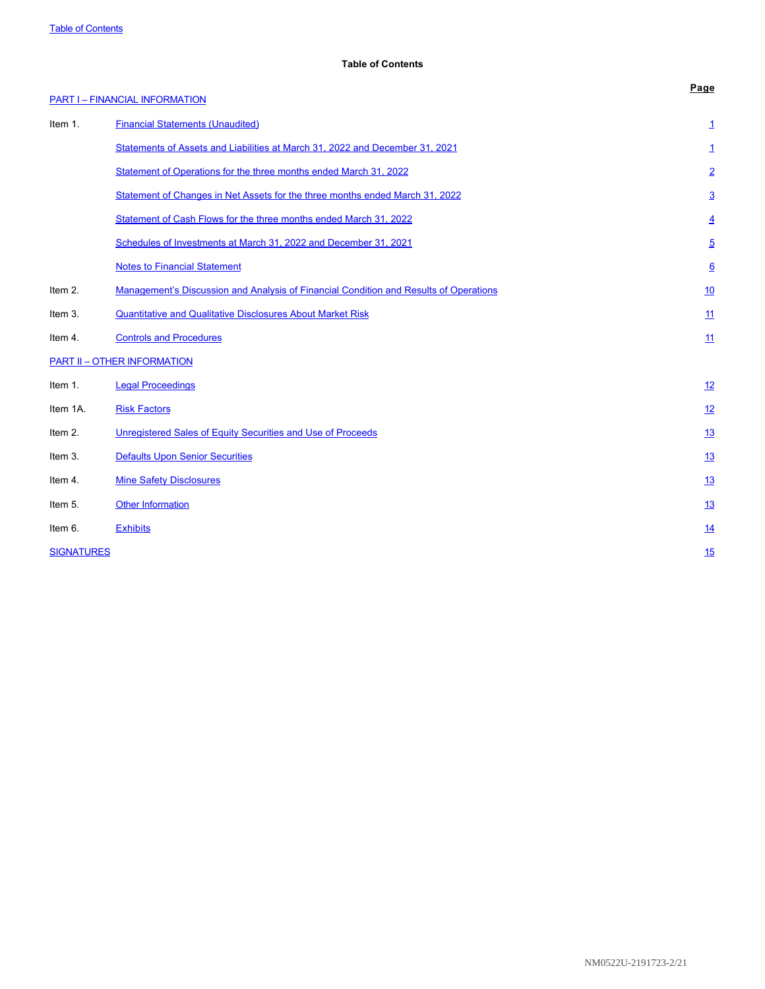# <span id="page-1-0"></span>**Table of Contents**

|                   | <b>PART I-FINANCIAL INFORMATION</b>                                                   | Page            |
|-------------------|---------------------------------------------------------------------------------------|-----------------|
| Item 1.           | <b>Financial Statements (Unaudited)</b>                                               | 1               |
|                   | Statements of Assets and Liabilities at March 31, 2022 and December 31, 2021          | 1               |
|                   | Statement of Operations for the three months ended March 31, 2022                     | $\overline{2}$  |
|                   | Statement of Changes in Net Assets for the three months ended March 31, 2022          | $\overline{3}$  |
|                   | Statement of Cash Flows for the three months ended March 31, 2022                     | $\overline{4}$  |
|                   | Schedules of Investments at March 31, 2022 and December 31, 2021                      | <u>5</u>        |
|                   | <b>Notes to Financial Statement</b>                                                   | $\underline{6}$ |
| Item 2.           | Management's Discussion and Analysis of Financial Condition and Results of Operations | <u>10</u>       |
| Item 3.           | <b>Quantitative and Qualitative Disclosures About Market Risk</b>                     | 11              |
| Item 4.           | <b>Controls and Procedures</b>                                                        | 11              |
|                   | <b>PART II - OTHER INFORMATION</b>                                                    |                 |
| Item 1.           | <b>Legal Proceedings</b>                                                              | 12              |
| Item 1A.          | <b>Risk Factors</b>                                                                   | 12              |
| Item 2.           | Unregistered Sales of Equity Securities and Use of Proceeds                           | <u>13</u>       |
| Item 3.           | <b>Defaults Upon Senior Securities</b>                                                | <u>13</u>       |
| Item 4.           | <b>Mine Safety Disclosures</b>                                                        | 13              |
| Item 5.           | <b>Other Information</b>                                                              | <u>13</u>       |
| Item 6.           | <b>Exhibits</b>                                                                       | <u>14</u>       |
| <b>SIGNATURES</b> |                                                                                       | 15              |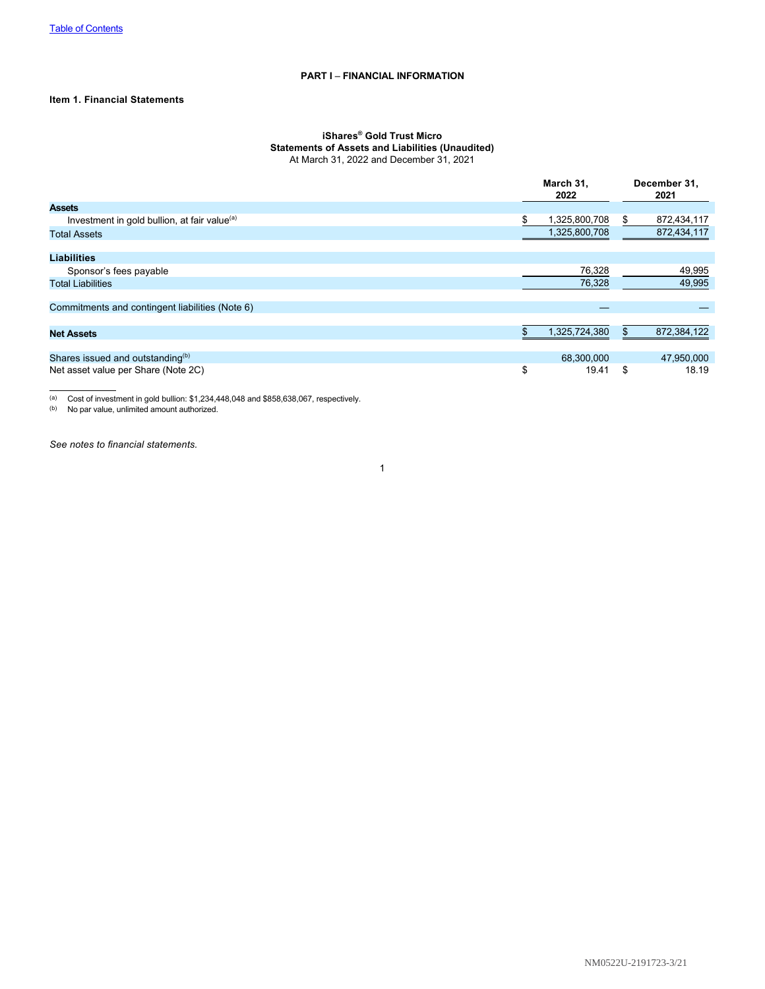# <span id="page-2-0"></span>**PART I** – **FINANCIAL INFORMATION**

# <span id="page-2-1"></span>**Item 1. Financial Statements**

# **iShares® Gold Trust Micro Statements of Assets and Liabilities (Unaudited)**

<span id="page-2-2"></span>At March 31, 2022 and December 31, 2021

|                                                          | March 31,<br>2022 |    | December 31,<br>2021 |
|----------------------------------------------------------|-------------------|----|----------------------|
| <b>Assets</b>                                            |                   |    |                      |
| Investment in gold bullion, at fair value <sup>(a)</sup> | 1,325,800,708     | S. | 872,434,117          |
| <b>Total Assets</b>                                      | 1,325,800,708     |    | 872,434,117          |
|                                                          |                   |    |                      |
| <b>Liabilities</b>                                       |                   |    |                      |
| Sponsor's fees payable                                   | 76,328            |    | 49,995               |
| <b>Total Liabilities</b>                                 | 76,328            |    | 49,995               |
|                                                          |                   |    |                      |
| Commitments and contingent liabilities (Note 6)          |                   |    |                      |
|                                                          |                   |    |                      |
| <b>Net Assets</b>                                        | 1,325,724,380     |    | 872,384,122          |
|                                                          |                   |    |                      |
| Shares issued and outstanding <sup>(b)</sup>             | 68,300,000        |    | 47,950,000           |
| Net asset value per Share (Note 2C)                      | \$<br>19.41       | \$ | 18.19                |

(a) Cost of investment in gold bullion: \$1,234,448,048 and \$858,638,067, respectively.

(b) No par value, unlimited amount authorized.

*See notes to financial statements.*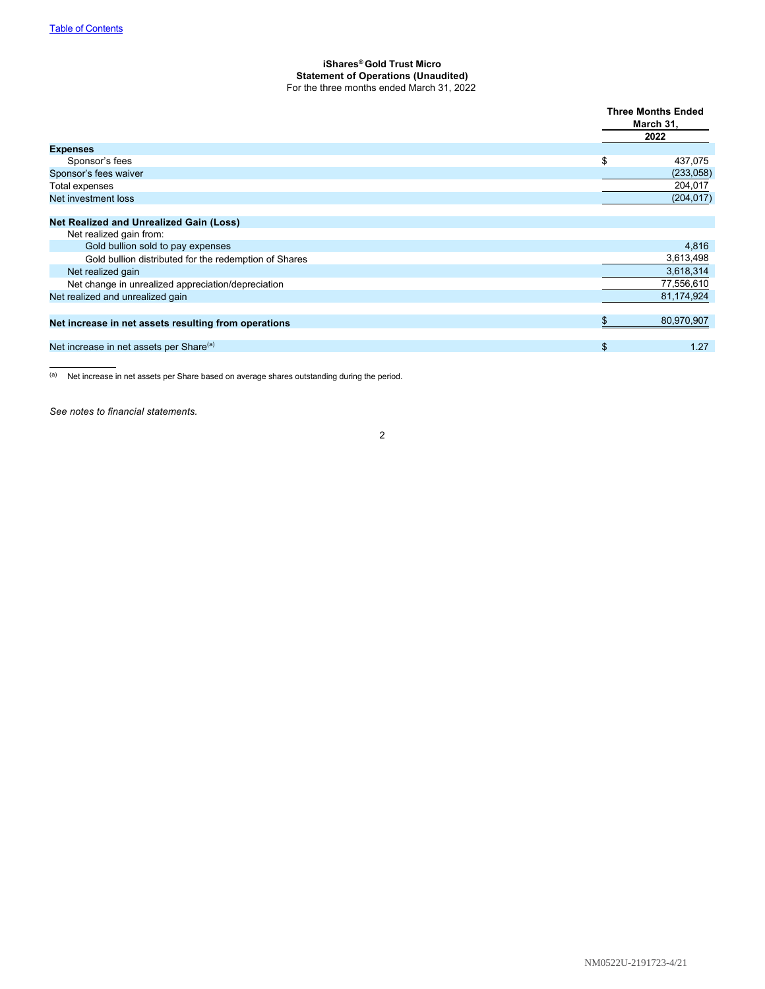## <span id="page-3-0"></span>**iShares® Gold Trust Micro Statement of Operations (Unaudited)** For the three months ended March 31, 2022

|                                                       | <b>Three Months Ended</b><br>March 31,<br>2022 |
|-------------------------------------------------------|------------------------------------------------|
| <b>Expenses</b>                                       |                                                |
| Sponsor's fees                                        | \$<br>437,075                                  |
| Sponsor's fees waiver                                 | (233,058)                                      |
| Total expenses                                        | 204,017                                        |
| Net investment loss                                   | (204, 017)                                     |
|                                                       |                                                |
| <b>Net Realized and Unrealized Gain (Loss)</b>        |                                                |
| Net realized gain from:                               |                                                |
| Gold bullion sold to pay expenses                     | 4,816                                          |
| Gold bullion distributed for the redemption of Shares | 3,613,498                                      |
| Net realized gain                                     | 3,618,314                                      |
| Net change in unrealized appreciation/depreciation    | 77,556,610                                     |
| Net realized and unrealized gain                      | 81,174,924                                     |
|                                                       |                                                |
| Net increase in net assets resulting from operations  | 80,970,907                                     |
|                                                       |                                                |
| Net increase in net assets per Share <sup>(a)</sup>   | \$<br>1.27                                     |

(a) Net increase in net assets per Share based on average shares outstanding during the period.

*See notes to financial statements.*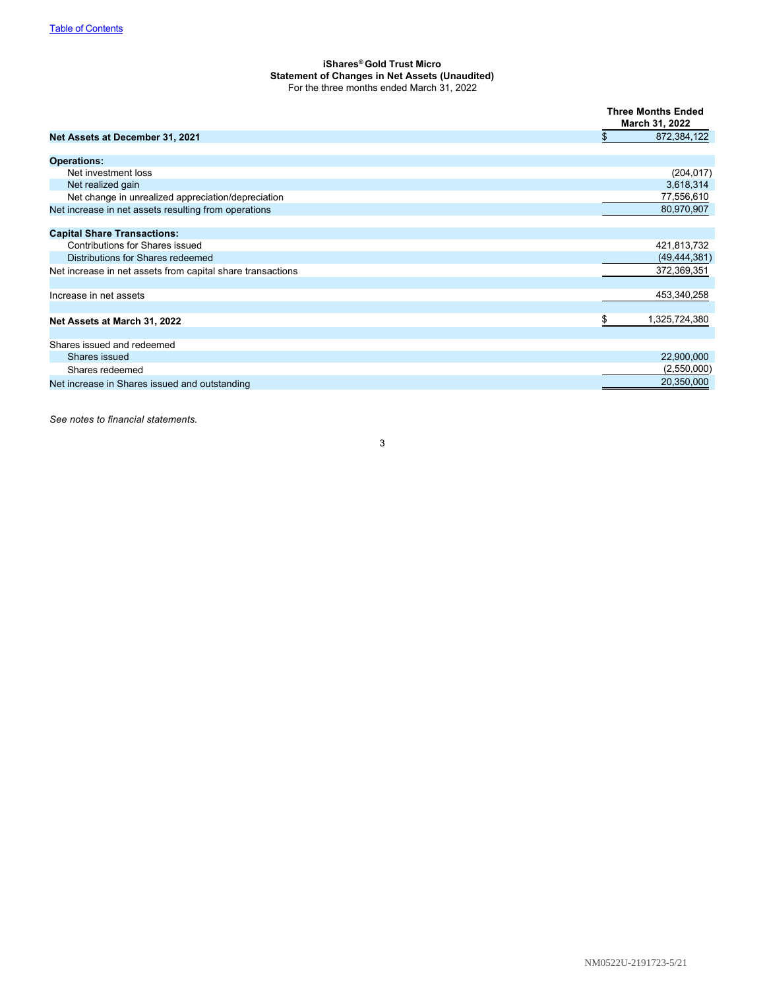## <span id="page-4-0"></span>**iShares® Gold Trust Micro Statement of Changes in Net Assets (Unaudited)** For the three months ended March 31, 2022

|                                                            | <b>Three Months Ended</b><br>March 31, 2022 |
|------------------------------------------------------------|---------------------------------------------|
| Net Assets at December 31, 2021                            | \$<br>872,384,122                           |
| <b>Operations:</b>                                         |                                             |
| Net investment loss                                        | (204, 017)                                  |
| Net realized gain                                          | 3,618,314                                   |
| Net change in unrealized appreciation/depreciation         | 77,556,610                                  |
| Net increase in net assets resulting from operations       | 80,970,907                                  |
| <b>Capital Share Transactions:</b>                         |                                             |
| <b>Contributions for Shares issued</b>                     | 421,813,732                                 |
| Distributions for Shares redeemed                          | (49, 444, 381)                              |
| Net increase in net assets from capital share transactions | 372,369,351                                 |
| Increase in net assets                                     | 453,340,258                                 |
| Net Assets at March 31, 2022                               | \$<br>1,325,724,380                         |
| Shares issued and redeemed                                 |                                             |
| Shares issued                                              | 22,900,000                                  |
| Shares redeemed                                            | (2,550,000)                                 |
| Net increase in Shares issued and outstanding              | 20,350,000                                  |

*See notes to financial statements.*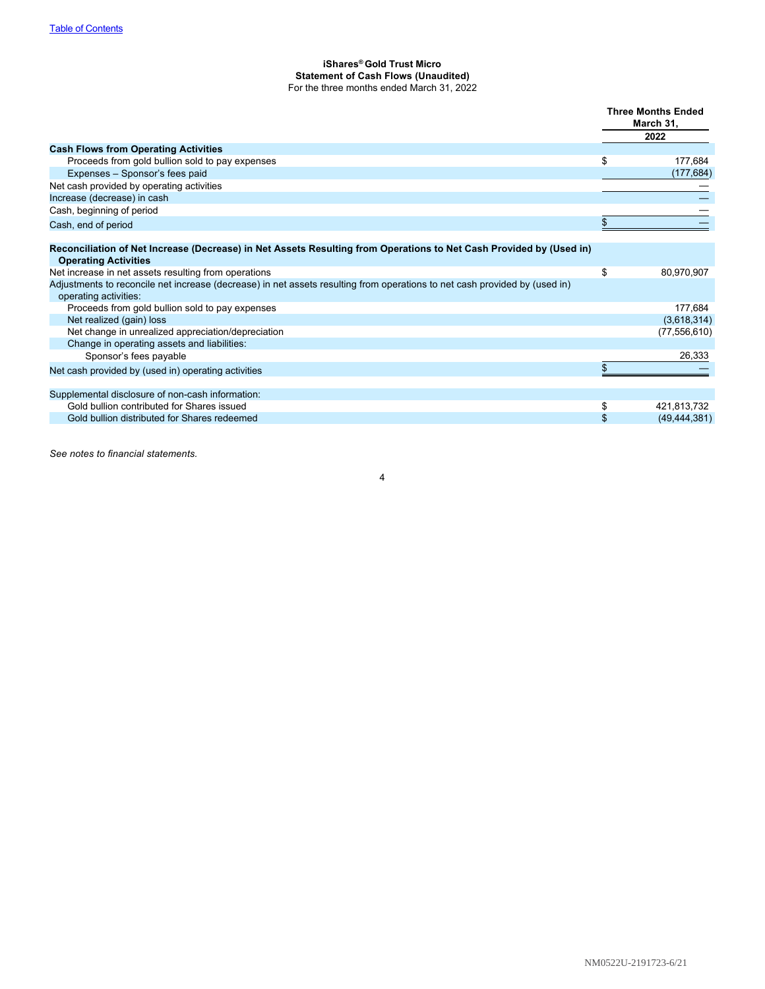## <span id="page-5-0"></span>**iShares® Gold Trust Micro Statement of Cash Flows (Unaudited)** For the three months ended March 31, 2022

|                                                                                                                                                    | <b>Three Months Ended</b><br>March 31,<br>2022 |
|----------------------------------------------------------------------------------------------------------------------------------------------------|------------------------------------------------|
| <b>Cash Flows from Operating Activities</b>                                                                                                        |                                                |
| Proceeds from gold bullion sold to pay expenses                                                                                                    | \$<br>177,684                                  |
| Expenses - Sponsor's fees paid                                                                                                                     | (177,684)                                      |
| Net cash provided by operating activities                                                                                                          |                                                |
| Increase (decrease) in cash                                                                                                                        |                                                |
| Cash, beginning of period                                                                                                                          |                                                |
| Cash, end of period                                                                                                                                |                                                |
| Reconciliation of Net Increase (Decrease) in Net Assets Resulting from Operations to Net Cash Provided by (Used in)<br><b>Operating Activities</b> |                                                |
| Net increase in net assets resulting from operations                                                                                               | \$<br>80,970,907                               |
| Adjustments to reconcile net increase (decrease) in net assets resulting from operations to net cash provided by (used in)                         |                                                |
| operating activities:                                                                                                                              |                                                |
| Proceeds from gold bullion sold to pay expenses                                                                                                    | 177,684                                        |
| Net realized (gain) loss                                                                                                                           | (3,618,314)                                    |
| Net change in unrealized appreciation/depreciation                                                                                                 | (77, 556, 610)                                 |
| Change in operating assets and liabilities:                                                                                                        |                                                |
| Sponsor's fees payable                                                                                                                             | 26,333                                         |
| Net cash provided by (used in) operating activities                                                                                                |                                                |
| Supplemental disclosure of non-cash information:                                                                                                   |                                                |
| Gold bullion contributed for Shares issued                                                                                                         | \$<br>421,813,732                              |
| Gold bullion distributed for Shares redeemed                                                                                                       | \$<br>(49, 444, 381)                           |

4

*See notes to financial statements.*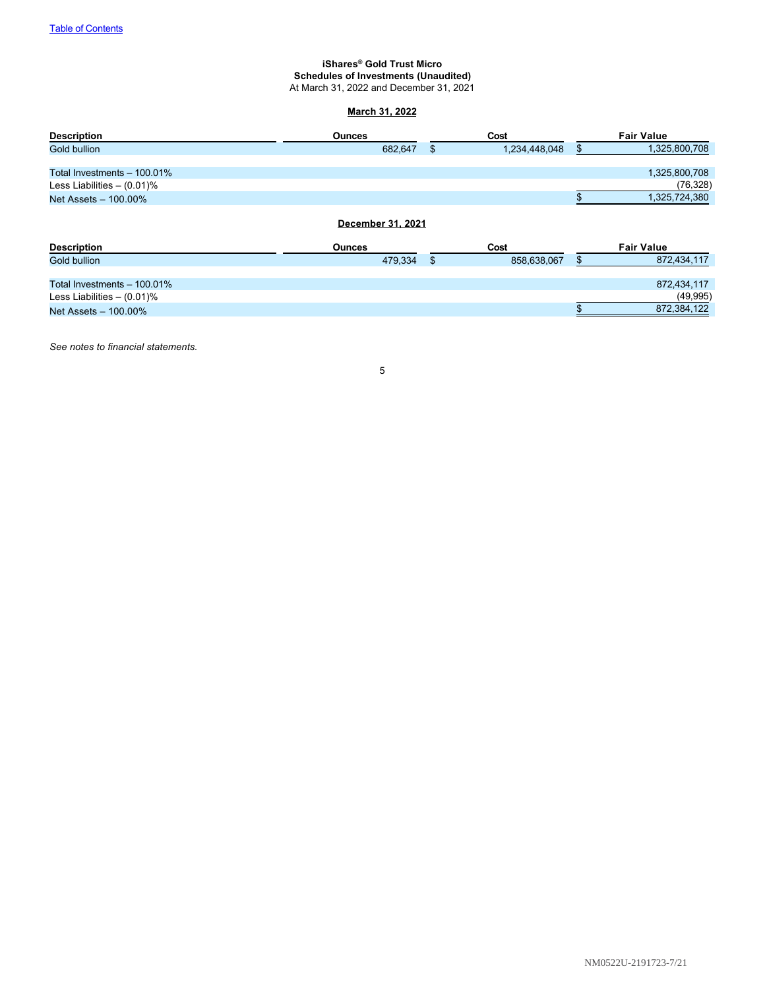#### <span id="page-6-0"></span>**iShares® Gold Trust Micro Schedules of Investments (Unaudited)** At March 31, 2022 and December 31, 2021

# **March 31, 2022**

| <b>Description</b>            | <b>Ounces</b>                      |    | Cost          | <b>Fair Value</b>   |
|-------------------------------|------------------------------------|----|---------------|---------------------|
| Gold bullion                  | 682,647                            | \$ | 1,234,448,048 | \$<br>1,325,800,708 |
|                               |                                    |    |               |                     |
| Total Investments - 100.01%   |                                    |    |               | 1,325,800,708       |
| Less Liabilities $- (0.01)$ % |                                    |    |               | (76, 328)           |
| Net Assets - 100.00%          |                                    |    |               | 1,325,724,380       |
| <b>Description</b>            | December 31, 2021<br><b>Ounces</b> |    | Cost          | <b>Fair Value</b>   |
| Gold bullion                  | 479,334                            | \$ | 858,638,067   | \$<br>872,434,117   |
|                               |                                    |    |               |                     |
| Total Investments - 100.01%   |                                    |    |               | 872,434,117         |
| Less Liabilities $-$ (0.01)%  |                                    |    |               | (49, 995)           |
| Net Assets - 100.00%          |                                    |    |               | 872,384,122         |

*See notes to financial statements.*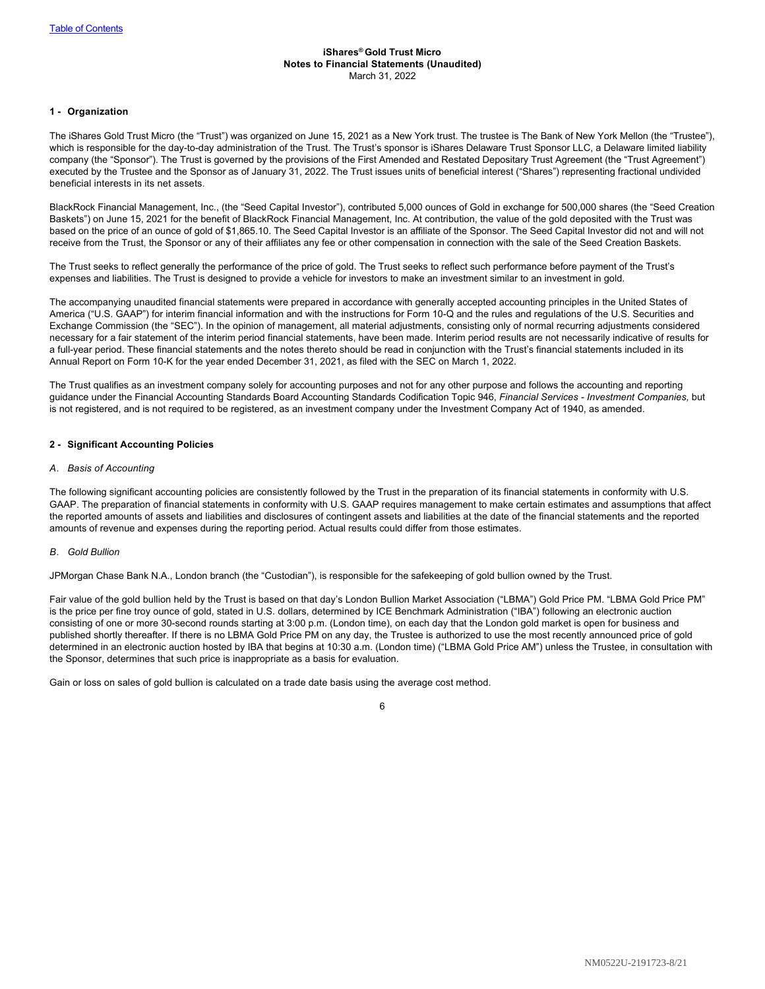#### <span id="page-7-0"></span>**iShares® Gold Trust Micro Notes to Financial Statements (Unaudited)** March 31, 2022

#### **1 - Organization**

The iShares Gold Trust Micro (the "Trust") was organized on June 15, 2021 as a New York trust. The trustee is The Bank of New York Mellon (the "Trustee"), which is responsible for the day-to-day administration of the Trust. The Trust's sponsor is iShares Delaware Trust Sponsor LLC, a Delaware limited liability company (the "Sponsor"). The Trust is governed by the provisions of the First Amended and Restated Depositary Trust Agreement (the "Trust Agreement") executed by the Trustee and the Sponsor as of January 31, 2022. The Trust issues units of beneficial interest ("Shares") representing fractional undivided beneficial interests in its net assets.

BlackRock Financial Management, Inc., (the "Seed Capital Investor"), contributed 5,000 ounces of Gold in exchange for 500,000 shares (the "Seed Creation Baskets") on June 15, 2021 for the benefit of BlackRock Financial Management, Inc. At contribution, the value of the gold deposited with the Trust was based on the price of an ounce of gold of \$1,865.10. The Seed Capital Investor is an affiliate of the Sponsor. The Seed Capital Investor did not and will not receive from the Trust, the Sponsor or any of their affiliates any fee or other compensation in connection with the sale of the Seed Creation Baskets.

The Trust seeks to reflect generally the performance of the price of gold. The Trust seeks to reflect such performance before payment of the Trust's expenses and liabilities. The Trust is designed to provide a vehicle for investors to make an investment similar to an investment in gold.

The accompanying unaudited financial statements were prepared in accordance with generally accepted accounting principles in the United States of America ("U.S. GAAP") for interim financial information and with the instructions for Form 10-Q and the rules and regulations of the U.S. Securities and Exchange Commission (the "SEC"). In the opinion of management, all material adjustments, consisting only of normal recurring adjustments considered necessary for a fair statement of the interim period financial statements, have been made. Interim period results are not necessarily indicative of results for a full-year period. These financial statements and the notes thereto should be read in conjunction with the Trust's financial statements included in its Annual Report on Form 10-K for the year ended December 31, 2021, as filed with the SEC on March 1, 2022.

The Trust qualifies as an investment company solely for accounting purposes and not for any other purpose and follows the accounting and reporting guidance under the Financial Accounting Standards Board Accounting Standards Codification Topic 946, *Financial Services - Investment Companies,* but is not registered, and is not required to be registered, as an investment company under the Investment Company Act of 1940, as amended.

#### **2 - Significant Accounting Policies**

#### *A. Basis of Accounting*

The following significant accounting policies are consistently followed by the Trust in the preparation of its financial statements in conformity with U.S. GAAP. The preparation of financial statements in conformity with U.S. GAAP requires management to make certain estimates and assumptions that affect the reported amounts of assets and liabilities and disclosures of contingent assets and liabilities at the date of the financial statements and the reported amounts of revenue and expenses during the reporting period. Actual results could differ from those estimates.

#### *B. Gold Bullion*

JPMorgan Chase Bank N.A., London branch (the "Custodian"), is responsible for the safekeeping of gold bullion owned by the Trust.

Fair value of the gold bullion held by the Trust is based on that day's London Bullion Market Association ("LBMA") Gold Price PM. "LBMA Gold Price PM" is the price per fine troy ounce of gold, stated in U.S. dollars, determined by ICE Benchmark Administration ("IBA") following an electronic auction consisting of one or more 30-second rounds starting at 3:00 p.m. (London time), on each day that the London gold market is open for business and published shortly thereafter. If there is no LBMA Gold Price PM on any day, the Trustee is authorized to use the most recently announced price of gold determined in an electronic auction hosted by IBA that begins at 10:30 a.m. (London time) ("LBMA Gold Price AM") unless the Trustee, in consultation with the Sponsor, determines that such price is inappropriate as a basis for evaluation.

Gain or loss on sales of gold bullion is calculated on a trade date basis using the average cost method.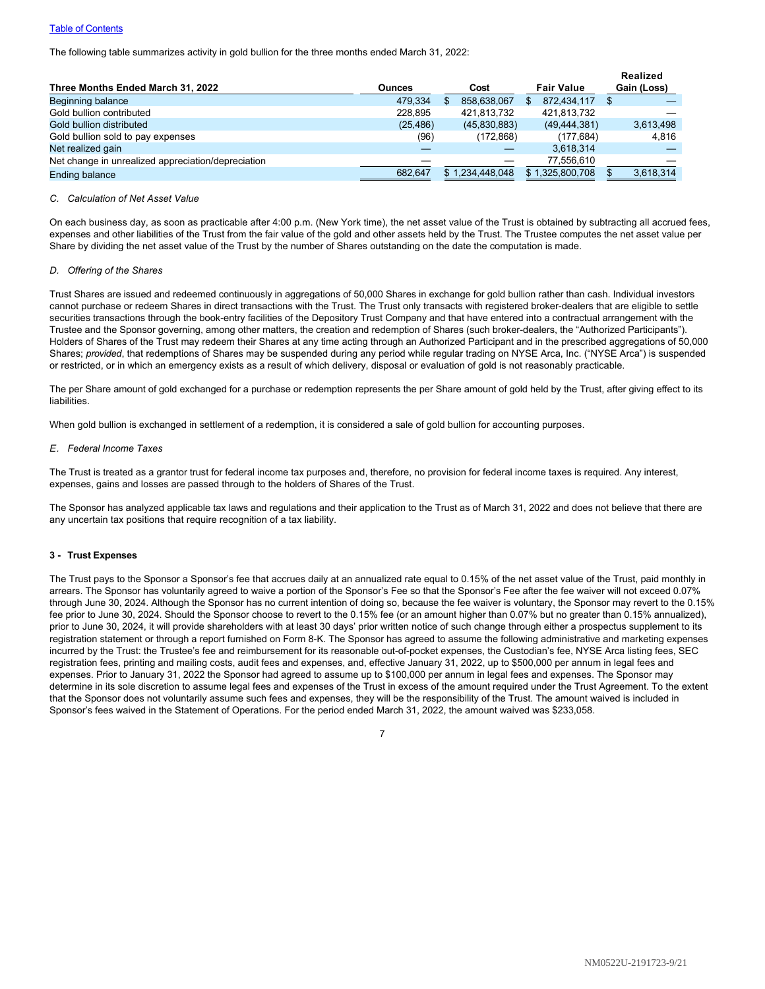#### **[Table of Contents](#page-1-0)**

The following table summarizes activity in gold bullion for the three months ended March 31, 2022:

|                                                    |               |                 |                   | Realized    |
|----------------------------------------------------|---------------|-----------------|-------------------|-------------|
| Three Months Ended March 31, 2022                  | <b>Ounces</b> | Cost            | <b>Fair Value</b> | Gain (Loss) |
| Beginning balance                                  | 479.334       | 858,638,067     | 872.434.117       |             |
| Gold bullion contributed                           | 228.895       | 421.813.732     | 421,813,732       |             |
| Gold bullion distributed                           | (25, 486)     | (45,830,883)    | (49, 444, 381)    | 3,613,498   |
| Gold bullion sold to pay expenses                  | (96)          | (172, 868)      | (177.684)         | 4,816       |
| Net realized gain                                  |               |                 | 3,618,314         |             |
| Net change in unrealized appreciation/depreciation |               |                 | 77.556.610        |             |
| <b>Ending balance</b>                              | 682.647       | \$1.234.448.048 | \$1.325.800.708   | 3.618.314   |

# *C. Calculation of Net Asset Value*

On each business day, as soon as practicable after 4:00 p.m. (New York time), the net asset value of the Trust is obtained by subtracting all accrued fees, expenses and other liabilities of the Trust from the fair value of the gold and other assets held by the Trust. The Trustee computes the net asset value per Share by dividing the net asset value of the Trust by the number of Shares outstanding on the date the computation is made.

#### *D. Offering of the Shares*

Trust Shares are issued and redeemed continuously in aggregations of 50,000 Shares in exchange for gold bullion rather than cash. Individual investors cannot purchase or redeem Shares in direct transactions with the Trust. The Trust only transacts with registered broker-dealers that are eligible to settle securities transactions through the book-entry facilities of the Depository Trust Company and that have entered into a contractual arrangement with the Trustee and the Sponsor governing, among other matters, the creation and redemption of Shares (such broker-dealers, the "Authorized Participants"). Holders of Shares of the Trust may redeem their Shares at any time acting through an Authorized Participant and in the prescribed aggregations of 50,000 Shares; *provided*, that redemptions of Shares may be suspended during any period while regular trading on NYSE Arca, Inc. ("NYSE Arca") is suspended or restricted, or in which an emergency exists as a result of which delivery, disposal or evaluation of gold is not reasonably practicable.

The per Share amount of gold exchanged for a purchase or redemption represents the per Share amount of gold held by the Trust, after giving effect to its **liabilities** 

When gold bullion is exchanged in settlement of a redemption, it is considered a sale of gold bullion for accounting purposes.

#### *E. Federal Income Taxes*

The Trust is treated as a grantor trust for federal income tax purposes and, therefore, no provision for federal income taxes is required. Any interest, expenses, gains and losses are passed through to the holders of Shares of the Trust.

The Sponsor has analyzed applicable tax laws and regulations and their application to the Trust as of March 31, 2022 and does not believe that there are any uncertain tax positions that require recognition of a tax liability.

#### **3 - Trust Expenses**

The Trust pays to the Sponsor a Sponsor's fee that accrues daily at an annualized rate equal to 0.15% of the net asset value of the Trust, paid monthly in arrears. The Sponsor has voluntarily agreed to waive a portion of the Sponsor's Fee so that the Sponsor's Fee after the fee waiver will not exceed 0.07% through June 30, 2024. Although the Sponsor has no current intention of doing so, because the fee waiver is voluntary, the Sponsor may revert to the 0.15% fee prior to June 30, 2024. Should the Sponsor choose to revert to the 0.15% fee (or an amount higher than 0.07% but no greater than 0.15% annualized), prior to June 30, 2024, it will provide shareholders with at least 30 days' prior written notice of such change through either a prospectus supplement to its registration statement or through a report furnished on Form 8-K. The Sponsor has agreed to assume the following administrative and marketing expenses incurred by the Trust: the Trustee's fee and reimbursement for its reasonable out-of-pocket expenses, the Custodian's fee, NYSE Arca listing fees, SEC registration fees, printing and mailing costs, audit fees and expenses, and, effective January 31, 2022, up to \$500,000 per annum in legal fees and expenses. Prior to January 31, 2022 the Sponsor had agreed to assume up to \$100,000 per annum in legal fees and expenses. The Sponsor may determine in its sole discretion to assume legal fees and expenses of the Trust in excess of the amount required under the Trust Agreement. To the extent that the Sponsor does not voluntarily assume such fees and expenses, they will be the responsibility of the Trust. The amount waived is included in Sponsor's fees waived in the Statement of Operations. For the period ended March 31, 2022, the amount waived was \$233,058.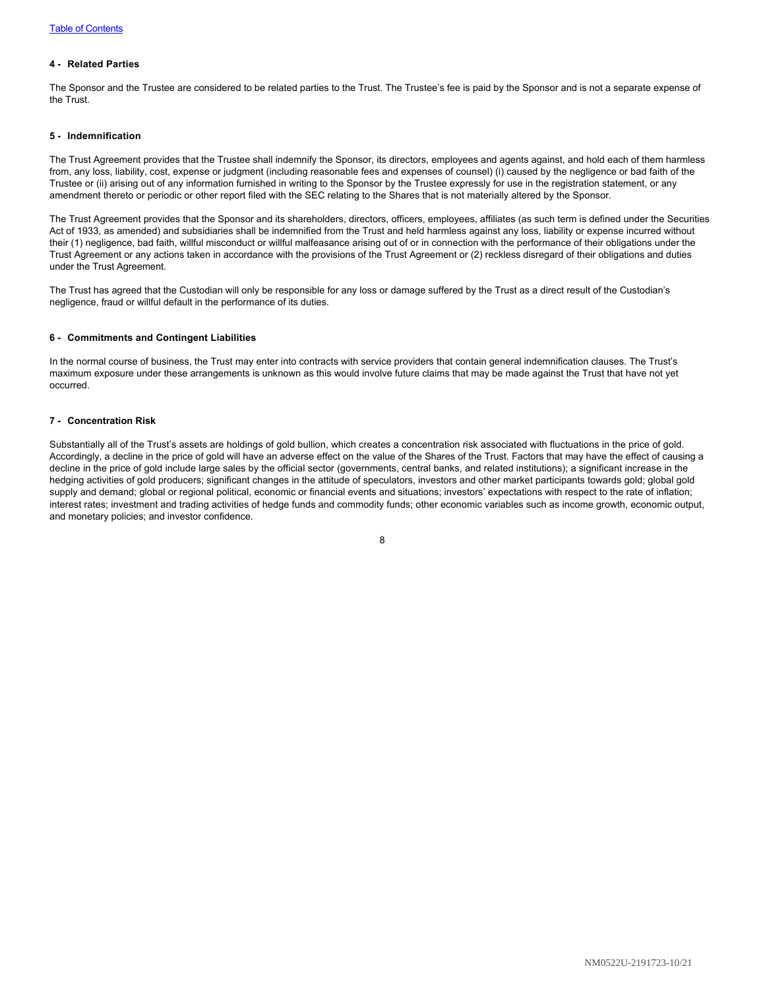### **4 - Related Parties**

The Sponsor and the Trustee are considered to be related parties to the Trust. The Trustee's fee is paid by the Sponsor and is not a separate expense of the Trust.

#### **5 - Indemnification**

The Trust Agreement provides that the Trustee shall indemnify the Sponsor, its directors, employees and agents against, and hold each of them harmless from, any loss, liability, cost, expense or judgment (including reasonable fees and expenses of counsel) (i) caused by the negligence or bad faith of the Trustee or (ii) arising out of any information furnished in writing to the Sponsor by the Trustee expressly for use in the registration statement, or any amendment thereto or periodic or other report filed with the SEC relating to the Shares that is not materially altered by the Sponsor.

The Trust Agreement provides that the Sponsor and its shareholders, directors, officers, employees, affiliates (as such term is defined under the Securities Act of 1933, as amended) and subsidiaries shall be indemnified from the Trust and held harmless against any loss, liability or expense incurred without their (1) negligence, bad faith, willful misconduct or willful malfeasance arising out of or in connection with the performance of their obligations under the Trust Agreement or any actions taken in accordance with the provisions of the Trust Agreement or (2) reckless disregard of their obligations and duties under the Trust Agreement.

The Trust has agreed that the Custodian will only be responsible for any loss or damage suffered by the Trust as a direct result of the Custodian's negligence, fraud or willful default in the performance of its duties.

# **6 - Commitments and Contingent Liabilities**

In the normal course of business, the Trust may enter into contracts with service providers that contain general indemnification clauses. The Trust's maximum exposure under these arrangements is unknown as this would involve future claims that may be made against the Trust that have not yet occurred.

#### **7 - Concentration Risk**

Substantially all of the Trust's assets are holdings of gold bullion, which creates a concentration risk associated with fluctuations in the price of gold. Accordingly, a decline in the price of gold will have an adverse effect on the value of the Shares of the Trust. Factors that may have the effect of causing a decline in the price of gold include large sales by the official sector (governments, central banks, and related institutions); a significant increase in the hedging activities of gold producers; significant changes in the attitude of speculators, investors and other market participants towards gold; global gold supply and demand; global or regional political, economic or financial events and situations; investors' expectations with respect to the rate of inflation; interest rates; investment and trading activities of hedge funds and commodity funds; other economic variables such as income growth, economic output, and monetary policies; and investor confidence.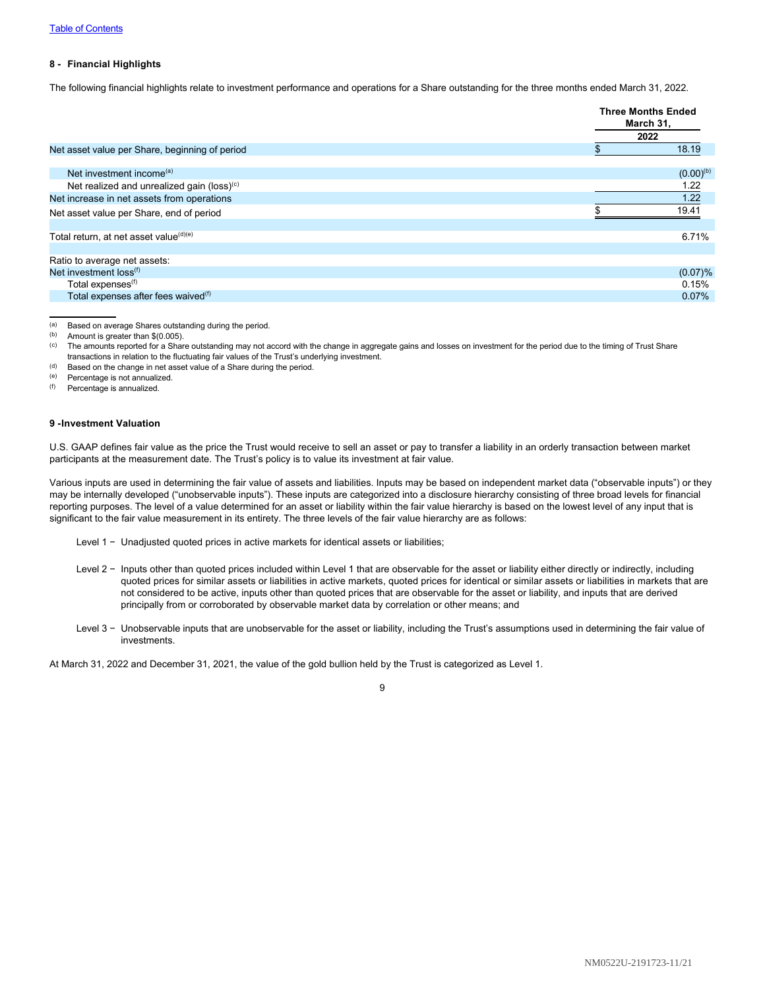#### **8 - Financial Highlights**

The following financial highlights relate to investment performance and operations for a Share outstanding for the three months ended March 31, 2022.

|                                                    | <b>Three Months Ended</b><br>March 31,<br>2022 |
|----------------------------------------------------|------------------------------------------------|
| Net asset value per Share, beginning of period     | 18.19                                          |
| Net investment income <sup>(a)</sup>               | $(0.00)^{(b)}$                                 |
| Net realized and unrealized gain (loss) $(c)$      | 1.22                                           |
| Net increase in net assets from operations         | 1.22                                           |
| Net asset value per Share, end of period           | 19.41                                          |
|                                                    |                                                |
| Total return, at net asset value <sup>(d)(e)</sup> | 6.71%                                          |
|                                                    |                                                |
| Ratio to average net assets:                       |                                                |
| Net investment loss <sup>(f)</sup>                 | (0.07)%                                        |
| Total expenses <sup>(f)</sup>                      | 0.15%                                          |
| Total expenses after fees waived <sup>(f)</sup>    | 0.07%                                          |

(a) Based on average Shares outstanding during the period.<br>(b) Amount is greater than  $$(0,005)$ 

- (c) The amounts reported for a Share outstanding may not accord with the change in aggregate gains and losses on investment for the period due to the timing of Trust Share transactions in relation to the fluctuating fair values of the Trust's underlying investment.
- $(d)$  Based on the change in net asset value of a Share during the period.

(e) Percentage is not annualized.

(f) Percentage is annualized.

#### **9 -Investment Valuation**

U.S. GAAP defines fair value as the price the Trust would receive to sell an asset or pay to transfer a liability in an orderly transaction between market participants at the measurement date. The Trust's policy is to value its investment at fair value.

Various inputs are used in determining the fair value of assets and liabilities. Inputs may be based on independent market data ("observable inputs") or they may be internally developed ("unobservable inputs"). These inputs are categorized into a disclosure hierarchy consisting of three broad levels for financial reporting purposes. The level of a value determined for an asset or liability within the fair value hierarchy is based on the lowest level of any input that is significant to the fair value measurement in its entirety. The three levels of the fair value hierarchy are as follows:

- Level 1 −  Unadjusted quoted prices in active markets for identical assets or liabilities;
- Level 2 −  Inputs other than quoted prices included within Level 1 that are observable for the asset or liability either directly or indirectly, including quoted prices for similar assets or liabilities in active markets, quoted prices for identical or similar assets or liabilities in markets that are not considered to be active, inputs other than quoted prices that are observable for the asset or liability, and inputs that are derived principally from or corroborated by observable market data by correlation or other means; and
- Level 3 −  Unobservable inputs that are unobservable for the asset or liability, including the Trust's assumptions used in determining the fair value of investments.

At March 31, 2022 and December 31, 2021, the value of the gold bullion held by the Trust is categorized as Level 1.

Amount is greater than  $$(0.005)$ .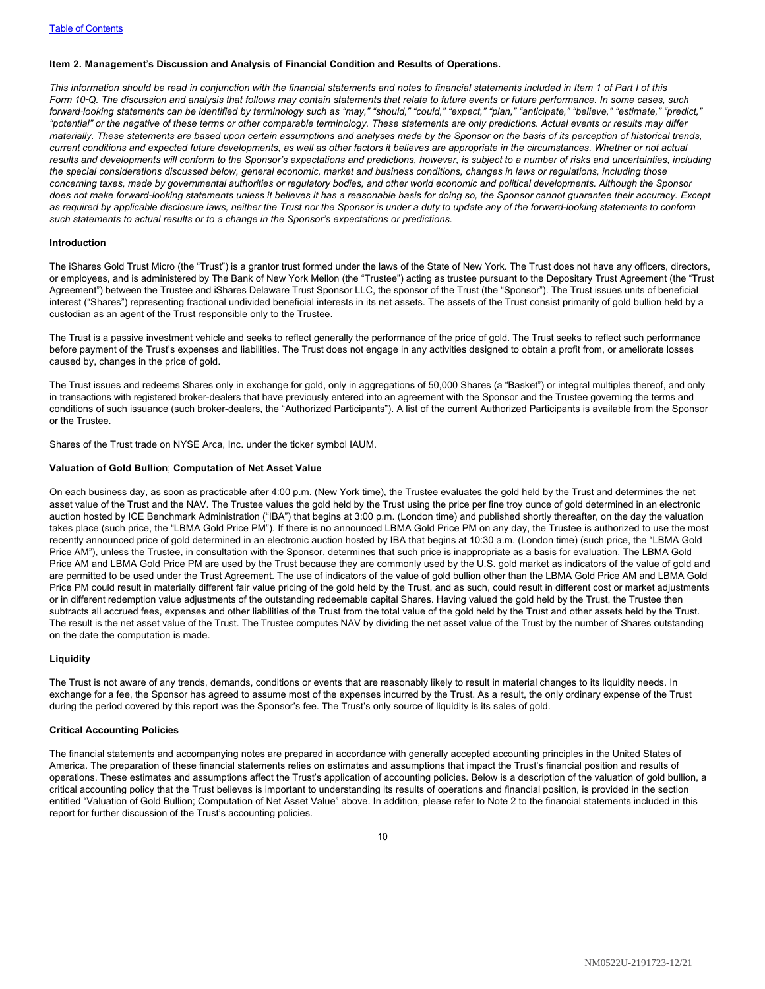#### <span id="page-11-0"></span>**Item 2. Management**'**s Discussion and Analysis of Financial Condition and Results of Operations.**

*This information should be read in conjunction with the financial statements and notes to financial statements included in Item 1 of Part I of this Form 10*‑*Q. The discussion and analysis that follows may contain statements that relate to future events or future performance. In some cases, such forward*‑*looking statements can be identified by terminology such as "may," "should," "could," "expect," "plan," "anticipate," "believe," "estimate," "predict," "potential" or the negative of these terms or other comparable terminology. These statements are only predictions. Actual events or results may differ materially. These statements are based upon certain assumptions and analyses made by the Sponsor on the basis of its perception of historical trends, current conditions and expected future developments, as well as other factors it believes are appropriate in the circumstances. Whether or not actual results and developments will conform to the Sponsor's expectations and predictions, however, is subject to a number of risks and uncertainties, including the special considerations discussed below, general economic, market and business conditions, changes in laws or regulations, including those concerning taxes, made by governmental authorities or regulatory bodies, and other world economic and political developments. Although the Sponsor does not make forward-looking statements unless it believes it has a reasonable basis for doing so, the Sponsor cannot guarantee their accuracy. Except as required by applicable disclosure laws, neither the Trust nor the Sponsor is under a duty to update any of the forward-looking statements to conform such statements to actual results or to a change in the Sponsor's expectations or predictions.*

#### **Introduction**

The iShares Gold Trust Micro (the "Trust") is a grantor trust formed under the laws of the State of New York. The Trust does not have any officers, directors, or employees, and is administered by The Bank of New York Mellon (the "Trustee") acting as trustee pursuant to the Depositary Trust Agreement (the "Trust Agreement") between the Trustee and iShares Delaware Trust Sponsor LLC, the sponsor of the Trust (the "Sponsor"). The Trust issues units of beneficial interest ("Shares") representing fractional undivided beneficial interests in its net assets. The assets of the Trust consist primarily of gold bullion held by a custodian as an agent of the Trust responsible only to the Trustee.

The Trust is a passive investment vehicle and seeks to reflect generally the performance of the price of gold. The Trust seeks to reflect such performance before payment of the Trust's expenses and liabilities. The Trust does not engage in any activities designed to obtain a profit from, or ameliorate losses caused by, changes in the price of gold.

The Trust issues and redeems Shares only in exchange for gold, only in aggregations of 50,000 Shares (a "Basket") or integral multiples thereof, and only in transactions with registered broker-dealers that have previously entered into an agreement with the Sponsor and the Trustee governing the terms and conditions of such issuance (such broker-dealers, the "Authorized Participants"). A list of the current Authorized Participants is available from the Sponsor or the Trustee.

Shares of the Trust trade on NYSE Arca, Inc. under the ticker symbol IAUM.

#### **Valuation of Gold Bullion**; **Computation of Net Asset Value**

On each business day, as soon as practicable after 4:00 p.m. (New York time), the Trustee evaluates the gold held by the Trust and determines the net asset value of the Trust and the NAV. The Trustee values the gold held by the Trust using the price per fine troy ounce of gold determined in an electronic auction hosted by ICE Benchmark Administration ("IBA") that begins at 3:00 p.m. (London time) and published shortly thereafter, on the day the valuation takes place (such price, the "LBMA Gold Price PM"). If there is no announced LBMA Gold Price PM on any day, the Trustee is authorized to use the most recently announced price of gold determined in an electronic auction hosted by IBA that begins at 10:30 a.m. (London time) (such price, the "LBMA Gold Price AM"), unless the Trustee, in consultation with the Sponsor, determines that such price is inappropriate as a basis for evaluation. The LBMA Gold Price AM and LBMA Gold Price PM are used by the Trust because they are commonly used by the U.S. gold market as indicators of the value of gold and are permitted to be used under the Trust Agreement. The use of indicators of the value of gold bullion other than the LBMA Gold Price AM and LBMA Gold Price PM could result in materially different fair value pricing of the gold held by the Trust, and as such, could result in different cost or market adjustments or in different redemption value adjustments of the outstanding redeemable capital Shares. Having valued the gold held by the Trust, the Trustee then subtracts all accrued fees, expenses and other liabilities of the Trust from the total value of the gold held by the Trust and other assets held by the Trust. The result is the net asset value of the Trust. The Trustee computes NAV by dividing the net asset value of the Trust by the number of Shares outstanding on the date the computation is made.

#### **Liquidity**

The Trust is not aware of any trends, demands, conditions or events that are reasonably likely to result in material changes to its liquidity needs. In exchange for a fee, the Sponsor has agreed to assume most of the expenses incurred by the Trust. As a result, the only ordinary expense of the Trust during the period covered by this report was the Sponsor's fee. The Trust's only source of liquidity is its sales of gold.

#### **Critical Accounting Policies**

The financial statements and accompanying notes are prepared in accordance with generally accepted accounting principles in the United States of America. The preparation of these financial statements relies on estimates and assumptions that impact the Trust's financial position and results of operations. These estimates and assumptions affect the Trust's application of accounting policies. Below is a description of the valuation of gold bullion, a critical accounting policy that the Trust believes is important to understanding its results of operations and financial position, is provided in the section entitled "Valuation of Gold Bullion; Computation of Net Asset Value" above. In addition, please refer to Note 2 to the financial statements included in this report for further discussion of the Trust's accounting policies.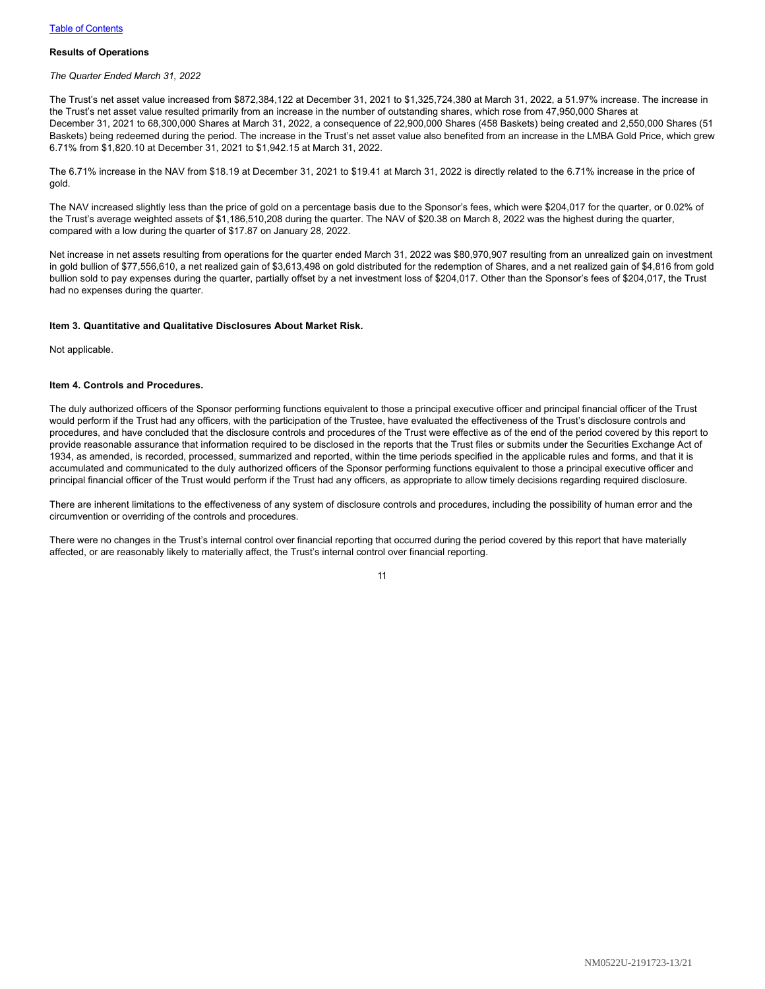#### **Results of Operations**

*The Quarter Ended March 31, 2022*

The Trust's net asset value increased from \$872,384,122 at December 31, 2021 to \$1,325,724,380 at March 31, 2022, a 51.97% increase. The increase in the Trust's net asset value resulted primarily from an increase in the number of outstanding shares, which rose from 47,950,000 Shares at December 31, 2021 to 68,300,000 Shares at March 31, 2022, a consequence of 22,900,000 Shares (458 Baskets) being created and 2,550,000 Shares (51 Baskets) being redeemed during the period. The increase in the Trust's net asset value also benefited from an increase in the LMBA Gold Price, which grew 6.71% from \$1,820.10 at December 31, 2021 to \$1,942.15 at March 31, 2022.

The 6.71% increase in the NAV from \$18.19 at December 31, 2021 to \$19.41 at March 31, 2022 is directly related to the 6.71% increase in the price of gold.

The NAV increased slightly less than the price of gold on a percentage basis due to the Sponsor's fees, which were \$204,017 for the quarter, or 0.02% of the Trust's average weighted assets of \$1,186,510,208 during the quarter. The NAV of \$20.38 on March 8, 2022 was the highest during the quarter, compared with a low during the quarter of \$17.87 on January 28, 2022.

Net increase in net assets resulting from operations for the quarter ended March 31, 2022 was \$80,970,907 resulting from an unrealized gain on investment in gold bullion of \$77,556,610, a net realized gain of \$3,613,498 on gold distributed for the redemption of Shares, and a net realized gain of \$4,816 from gold bullion sold to pay expenses during the quarter, partially offset by a net investment loss of \$204,017. Other than the Sponsor's fees of \$204,017, the Trust had no expenses during the quarter.

#### <span id="page-12-0"></span>**Item 3. Quantitative and Qualitative Disclosures About Market Risk.**

Not applicable.

#### <span id="page-12-1"></span>**Item 4. Controls and Procedures.**

The duly authorized officers of the Sponsor performing functions equivalent to those a principal executive officer and principal financial officer of the Trust would perform if the Trust had any officers, with the participation of the Trustee, have evaluated the effectiveness of the Trust's disclosure controls and procedures, and have concluded that the disclosure controls and procedures of the Trust were effective as of the end of the period covered by this report to provide reasonable assurance that information required to be disclosed in the reports that the Trust files or submits under the Securities Exchange Act of 1934, as amended, is recorded, processed, summarized and reported, within the time periods specified in the applicable rules and forms, and that it is accumulated and communicated to the duly authorized officers of the Sponsor performing functions equivalent to those a principal executive officer and principal financial officer of the Trust would perform if the Trust had any officers, as appropriate to allow timely decisions regarding required disclosure.

There are inherent limitations to the effectiveness of any system of disclosure controls and procedures, including the possibility of human error and the circumvention or overriding of the controls and procedures.

There were no changes in the Trust's internal control over financial reporting that occurred during the period covered by this report that have materially affected, or are reasonably likely to materially affect, the Trust's internal control over financial reporting.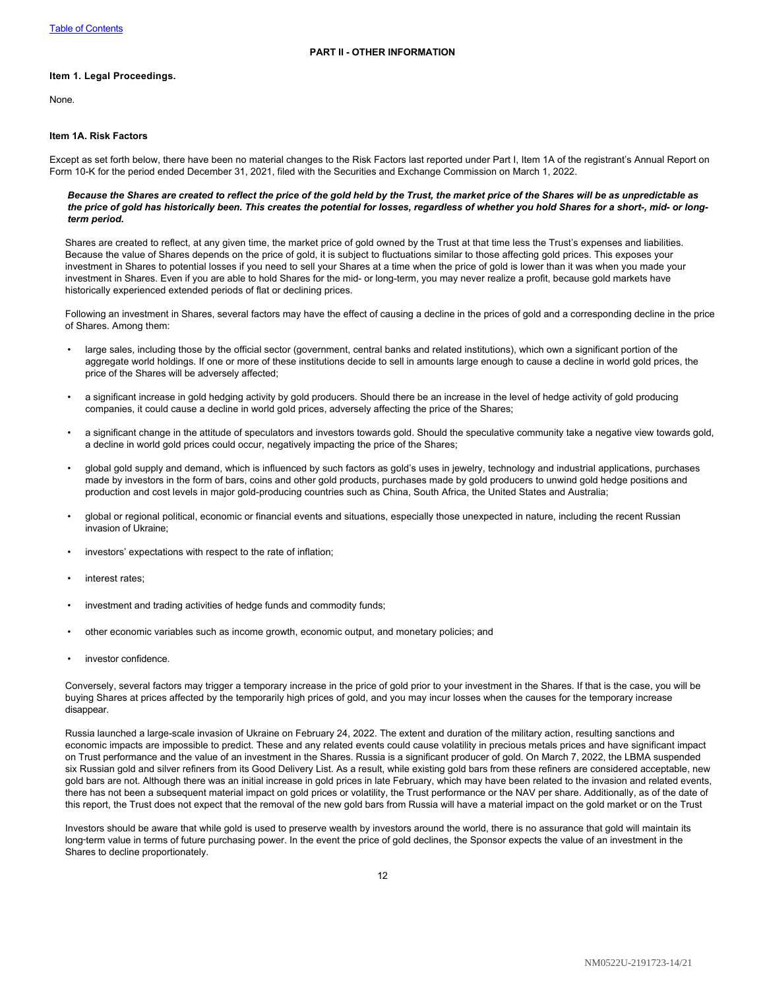#### <span id="page-13-1"></span><span id="page-13-0"></span>**Item 1. Legal Proceedings.**

None.

## <span id="page-13-2"></span>**Item 1A. Risk Factors**

Except as set forth below, there have been no material changes to the Risk Factors last reported under Part I, Item 1A of the registrant's Annual Report on Form 10-K for the period ended December 31, 2021, filed with the Securities and Exchange Commission on March 1, 2022.

#### *Because the Shares are created to reflect the price of the gold held by the Trust, the market price of the Shares will be as unpredictable as the price of gold has historically been. This creates the potential for losses, regardless of whether you hold Shares for a short-, mid- or longterm period.*

Shares are created to reflect, at any given time, the market price of gold owned by the Trust at that time less the Trust's expenses and liabilities. Because the value of Shares depends on the price of gold, it is subject to fluctuations similar to those affecting gold prices. This exposes your investment in Shares to potential losses if you need to sell your Shares at a time when the price of gold is lower than it was when you made your investment in Shares. Even if you are able to hold Shares for the mid- or long-term, you may never realize a profit, because gold markets have historically experienced extended periods of flat or declining prices.

Following an investment in Shares, several factors may have the effect of causing a decline in the prices of gold and a corresponding decline in the price of Shares. Among them:

- large sales, including those by the official sector (government, central banks and related institutions), which own a significant portion of the aggregate world holdings. If one or more of these institutions decide to sell in amounts large enough to cause a decline in world gold prices, the price of the Shares will be adversely affected;
- a significant increase in gold hedging activity by gold producers. Should there be an increase in the level of hedge activity of gold producing companies, it could cause a decline in world gold prices, adversely affecting the price of the Shares;
- a significant change in the attitude of speculators and investors towards gold. Should the speculative community take a negative view towards gold, a decline in world gold prices could occur, negatively impacting the price of the Shares;
- global gold supply and demand, which is influenced by such factors as gold's uses in jewelry, technology and industrial applications, purchases made by investors in the form of bars, coins and other gold products, purchases made by gold producers to unwind gold hedge positions and production and cost levels in major gold-producing countries such as China, South Africa, the United States and Australia;
- global or regional political, economic or financial events and situations, especially those unexpected in nature, including the recent Russian invasion of Ukraine;
- investors' expectations with respect to the rate of inflation;
- interest rates:
- investment and trading activities of hedge funds and commodity funds;
- other economic variables such as income growth, economic output, and monetary policies; and
- investor confidence.

Conversely, several factors may trigger a temporary increase in the price of gold prior to your investment in the Shares. If that is the case, you will be buying Shares at prices affected by the temporarily high prices of gold, and you may incur losses when the causes for the temporary increase disappear.

Russia launched a large-scale invasion of Ukraine on February 24, 2022. The extent and duration of the military action, resulting sanctions and economic impacts are impossible to predict. These and any related events could cause volatility in precious metals prices and have significant impact on Trust performance and the value of an investment in the Shares. Russia is a significant producer of gold. On March 7, 2022, the LBMA suspended six Russian gold and silver refiners from its Good Delivery List. As a result, while existing gold bars from these refiners are considered acceptable, new gold bars are not. Although there was an initial increase in gold prices in late February, which may have been related to the invasion and related events, there has not been a subsequent material impact on gold prices or volatility, the Trust performance or the NAV per share. Additionally, as of the date of this report, the Trust does not expect that the removal of the new gold bars from Russia will have a material impact on the gold market or on the Trust

Investors should be aware that while gold is used to preserve wealth by investors around the world, there is no assurance that gold will maintain its long-term value in terms of future purchasing power. In the event the price of gold declines, the Sponsor expects the value of an investment in the Shares to decline proportionately.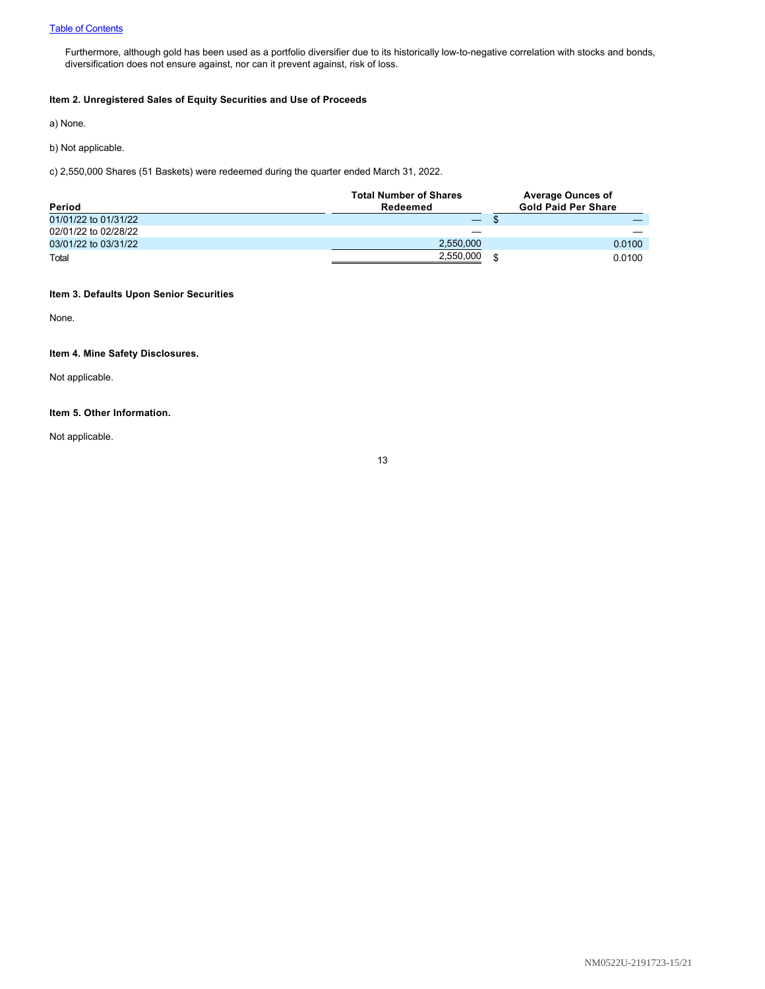Furthermore, although gold has been used as a portfolio diversifier due to its historically low-to-negative correlation with stocks and bonds, diversification does not ensure against, nor can it prevent against, risk of loss.

# <span id="page-14-0"></span>**Item 2. Unregistered Sales of Equity Securities and Use of Proceeds**

a) None.

b) Not applicable.

c) 2,550,000 Shares (51 Baskets) were redeemed during the quarter ended March 31, 2022.

| Period               | <b>Total Number of Shares</b><br>Redeemed |    | <b>Average Ounces of</b><br><b>Gold Paid Per Share</b> |
|----------------------|-------------------------------------------|----|--------------------------------------------------------|
| 01/01/22 to 01/31/22 |                                           |    |                                                        |
| 02/01/22 to 02/28/22 |                                           |    |                                                        |
| 03/01/22 to 03/31/22 | 2.550.000                                 |    | 0.0100                                                 |
| Total                | 2,550,000                                 | .S | 0.0100                                                 |

# <span id="page-14-1"></span>**Item 3. Defaults Upon Senior Securities**

None.

# <span id="page-14-2"></span>**Item 4. Mine Safety Disclosures.**

Not applicable.

# <span id="page-14-3"></span>**Item 5. Other Information.**

Not applicable.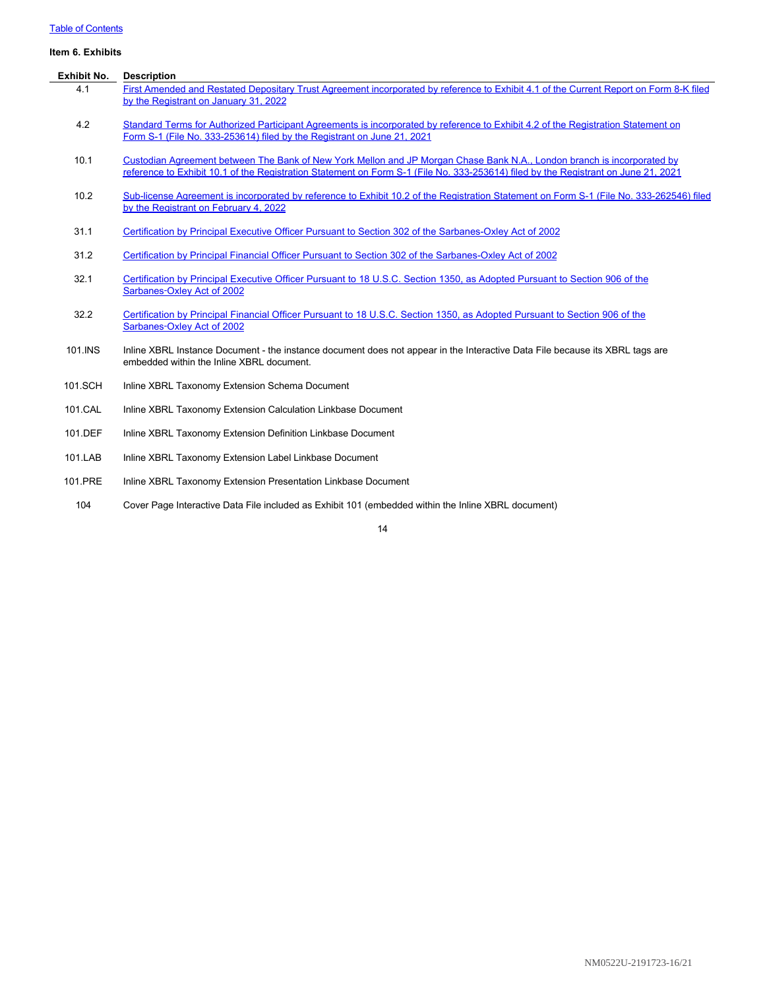# [Table of Contents](#page-1-0)

# <span id="page-15-0"></span>**Item 6. Exhibits**

| <b>Exhibit No.</b> | <b>Description</b>                                                                                                                                                                                                                                            |
|--------------------|---------------------------------------------------------------------------------------------------------------------------------------------------------------------------------------------------------------------------------------------------------------|
| 4.1                | First Amended and Restated Depositary Trust Agreement incorporated by reference to Exhibit 4.1 of the Current Report on Form 8-K filed<br>by the Registrant on January 31, 2022                                                                               |
| 4.2                | Standard Terms for Authorized Participant Agreements is incorporated by reference to Exhibit 4.2 of the Registration Statement on<br>Form S-1 (File No. 333-253614) filed by the Registrant on June 21, 2021                                                  |
| 10.1               | Custodian Agreement between The Bank of New York Mellon and JP Morgan Chase Bank N.A., London branch is incorporated by<br>reference to Exhibit 10.1 of the Registration Statement on Form S-1 (File No. 333-253614) filed by the Registrant on June 21, 2021 |
| 10.2               | Sub-license Agreement is incorporated by reference to Exhibit 10.2 of the Registration Statement on Form S-1 (File No. 333-262546) filed<br>by the Registrant on February 4, 2022                                                                             |
| 31.1               | Certification by Principal Executive Officer Pursuant to Section 302 of the Sarbanes-Oxley Act of 2002                                                                                                                                                        |
| 31.2               | Certification by Principal Financial Officer Pursuant to Section 302 of the Sarbanes-Oxley Act of 2002                                                                                                                                                        |
| 32.1               | Certification by Principal Executive Officer Pursuant to 18 U.S.C. Section 1350, as Adopted Pursuant to Section 906 of the<br>Sarbanes-Oxley Act of 2002                                                                                                      |
| 32.2               | Certification by Principal Financial Officer Pursuant to 18 U.S.C. Section 1350, as Adopted Pursuant to Section 906 of the<br>Sarbanes-Oxley Act of 2002                                                                                                      |
| 101.INS            | Inline XBRL Instance Document - the instance document does not appear in the Interactive Data File because its XBRL tags are<br>embedded within the Inline XBRL document.                                                                                     |
| 101.SCH            | Inline XBRL Taxonomy Extension Schema Document                                                                                                                                                                                                                |
| 101.CAL            | Inline XBRL Taxonomy Extension Calculation Linkbase Document                                                                                                                                                                                                  |
| 101.DEF            | Inline XBRL Taxonomy Extension Definition Linkbase Document                                                                                                                                                                                                   |
| 101.LAB            | Inline XBRL Taxonomy Extension Label Linkbase Document                                                                                                                                                                                                        |
| 101.PRE            | Inline XBRL Taxonomy Extension Presentation Linkbase Document                                                                                                                                                                                                 |

104 Cover Page Interactive Data File included as Exhibit 101 (embedded within the Inline XBRL document)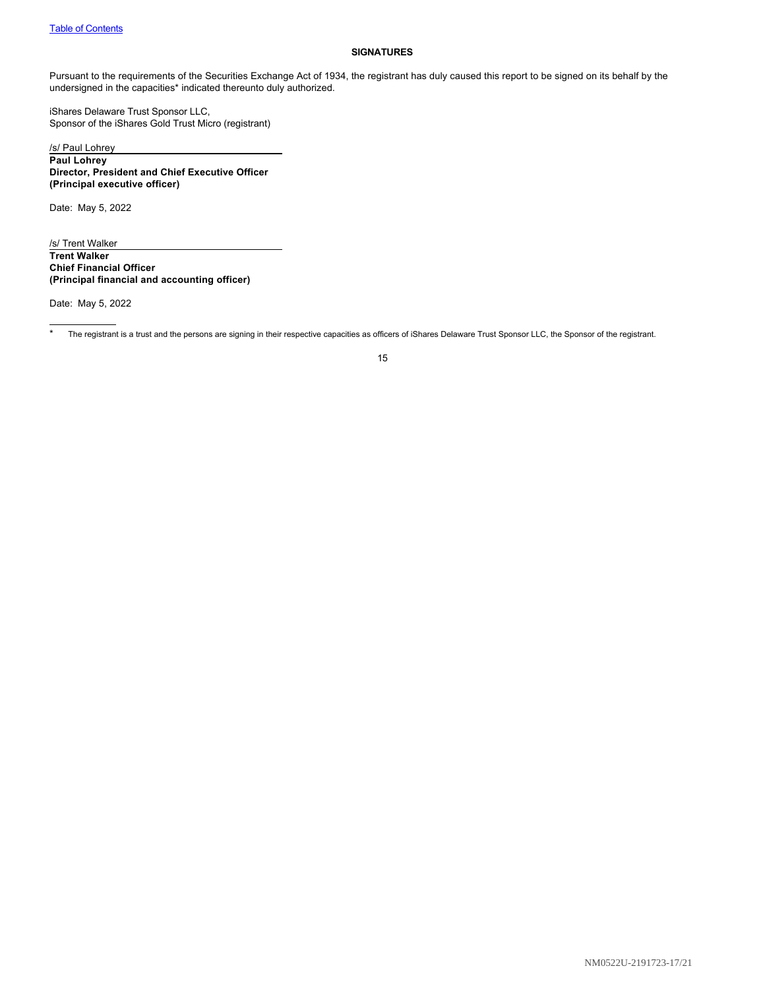### <span id="page-16-0"></span>**SIGNATURES**

Pursuant to the requirements of the Securities Exchange Act of 1934, the registrant has duly caused this report to be signed on its behalf by the undersigned in the capacities\* indicated thereunto duly authorized.

iShares Delaware Trust Sponsor LLC, Sponsor of the iShares Gold Trust Micro (registrant)

/s/ Paul Lohrey **Paul Lohrey Director, President and Chief Executive Officer (Principal executive officer)**

Date: May 5, 2022

/s/ Trent Walker **Trent Walker Chief Financial Officer (Principal financial and accounting officer)**

Date: May 5, 2022

\* The registrant is a trust and the persons are signing in their respective capacities as officers of iShares Delaware Trust Sponsor LLC, the Sponsor of the registrant.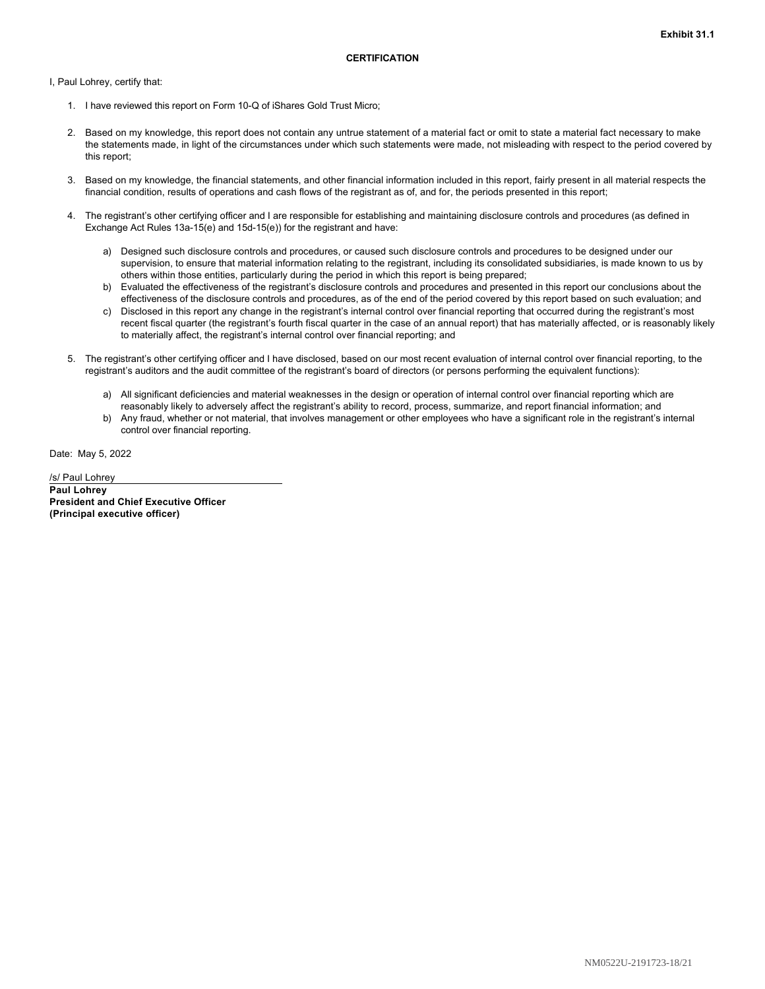<span id="page-17-0"></span>I, Paul Lohrey, certify that:

- 1. I have reviewed this report on Form 10-Q of iShares Gold Trust Micro;
- 2. Based on my knowledge, this report does not contain any untrue statement of a material fact or omit to state a material fact necessary to make the statements made, in light of the circumstances under which such statements were made, not misleading with respect to the period covered by this report;
- 3. Based on my knowledge, the financial statements, and other financial information included in this report, fairly present in all material respects the financial condition, results of operations and cash flows of the registrant as of, and for, the periods presented in this report;
- 4. The registrant's other certifying officer and I are responsible for establishing and maintaining disclosure controls and procedures (as defined in Exchange Act Rules 13a-15(e) and 15d-15(e)) for the registrant and have:
	- a) Designed such disclosure controls and procedures, or caused such disclosure controls and procedures to be designed under our supervision, to ensure that material information relating to the registrant, including its consolidated subsidiaries, is made known to us by others within those entities, particularly during the period in which this report is being prepared;
	- b) Evaluated the effectiveness of the registrant's disclosure controls and procedures and presented in this report our conclusions about the effectiveness of the disclosure controls and procedures, as of the end of the period covered by this report based on such evaluation; and
	- c) Disclosed in this report any change in the registrant's internal control over financial reporting that occurred during the registrant's most recent fiscal quarter (the registrant's fourth fiscal quarter in the case of an annual report) that has materially affected, or is reasonably likely to materially affect, the registrant's internal control over financial reporting; and
- 5. The registrant's other certifying officer and I have disclosed, based on our most recent evaluation of internal control over financial reporting, to the registrant's auditors and the audit committee of the registrant's board of directors (or persons performing the equivalent functions):
	- a) All significant deficiencies and material weaknesses in the design or operation of internal control over financial reporting which are reasonably likely to adversely affect the registrant's ability to record, process, summarize, and report financial information; and
	- b) Any fraud, whether or not material, that involves management or other employees who have a significant role in the registrant's internal control over financial reporting.

Date: May 5, 2022

/s/ Paul Lohrey **Paul Lohrey President and Chief Executive Officer (Principal executive officer)**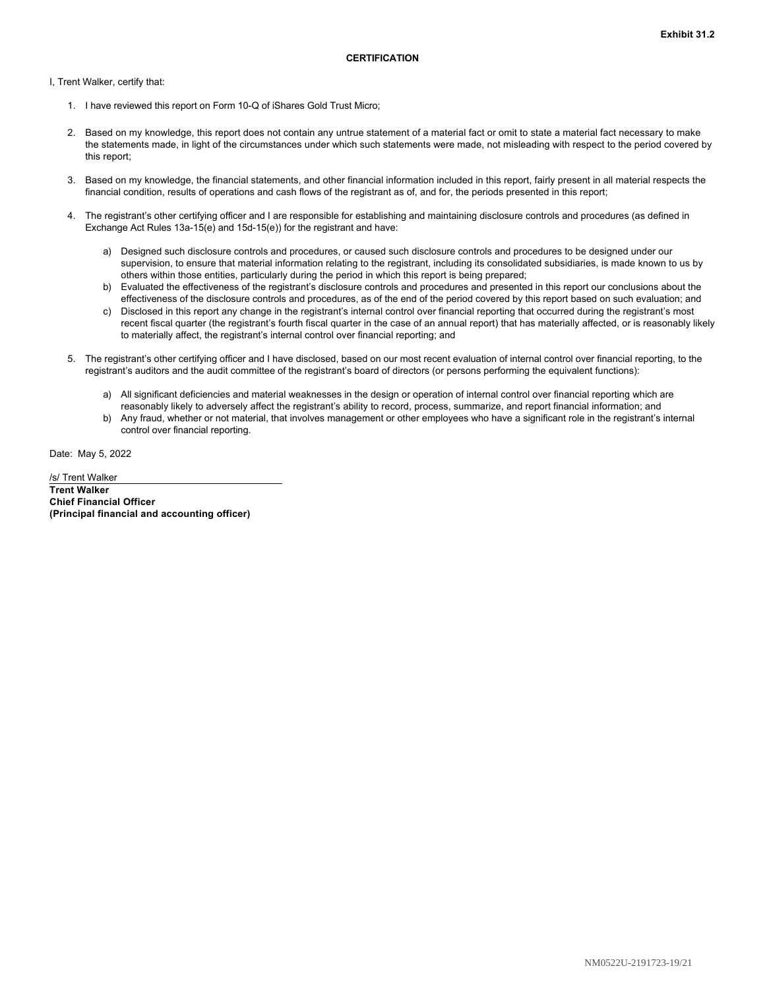<span id="page-18-0"></span>I, Trent Walker, certify that:

- 1. I have reviewed this report on Form 10-Q of iShares Gold Trust Micro;
- 2. Based on my knowledge, this report does not contain any untrue statement of a material fact or omit to state a material fact necessary to make the statements made, in light of the circumstances under which such statements were made, not misleading with respect to the period covered by this report;
- 3. Based on my knowledge, the financial statements, and other financial information included in this report, fairly present in all material respects the financial condition, results of operations and cash flows of the registrant as of, and for, the periods presented in this report;
- 4. The registrant's other certifying officer and I are responsible for establishing and maintaining disclosure controls and procedures (as defined in Exchange Act Rules 13a-15(e) and 15d-15(e)) for the registrant and have:
	- a) Designed such disclosure controls and procedures, or caused such disclosure controls and procedures to be designed under our supervision, to ensure that material information relating to the registrant, including its consolidated subsidiaries, is made known to us by others within those entities, particularly during the period in which this report is being prepared;
	- b) Evaluated the effectiveness of the registrant's disclosure controls and procedures and presented in this report our conclusions about the effectiveness of the disclosure controls and procedures, as of the end of the period covered by this report based on such evaluation; and
	- c) Disclosed in this report any change in the registrant's internal control over financial reporting that occurred during the registrant's most recent fiscal quarter (the registrant's fourth fiscal quarter in the case of an annual report) that has materially affected, or is reasonably likely to materially affect, the registrant's internal control over financial reporting; and
- 5. The registrant's other certifying officer and I have disclosed, based on our most recent evaluation of internal control over financial reporting, to the registrant's auditors and the audit committee of the registrant's board of directors (or persons performing the equivalent functions):
	- a) All significant deficiencies and material weaknesses in the design or operation of internal control over financial reporting which are reasonably likely to adversely affect the registrant's ability to record, process, summarize, and report financial information; and
	- b) Any fraud, whether or not material, that involves management or other employees who have a significant role in the registrant's internal control over financial reporting.

Date: May 5, 2022

/s/ Trent Walker **Trent Walker Chief Financial Officer (Principal financial and accounting officer)**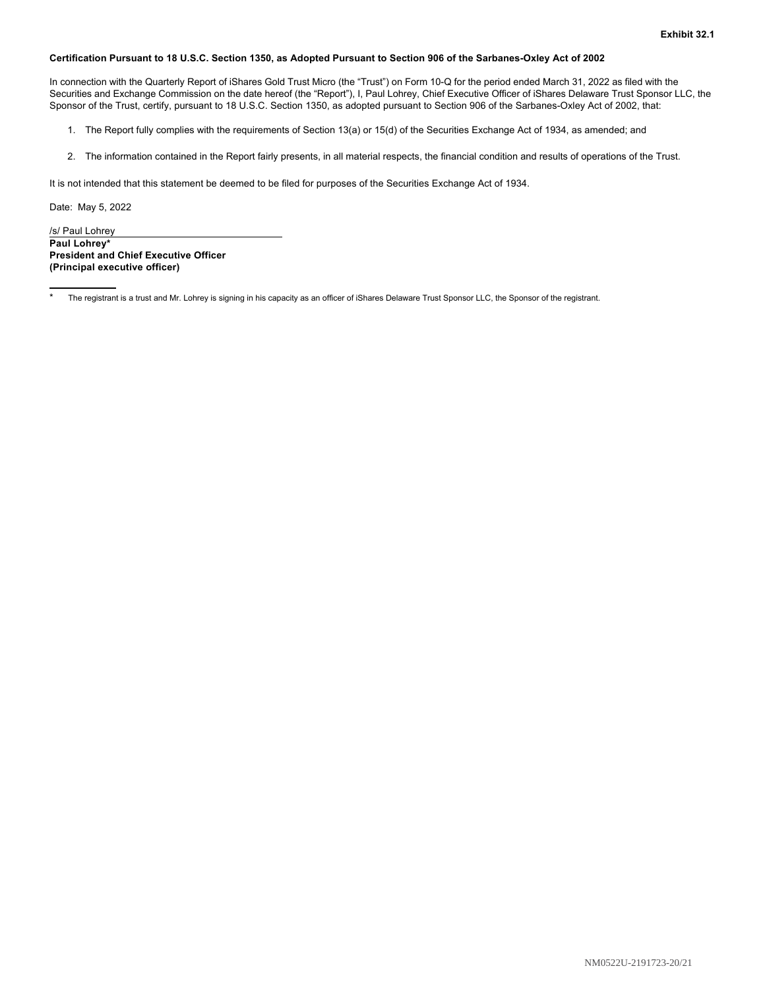#### <span id="page-19-0"></span>**Certification Pursuant to 18 U.S.C. Section 1350, as Adopted Pursuant to Section 906 of the Sarbanes-Oxley Act of 2002**

In connection with the Quarterly Report of iShares Gold Trust Micro (the "Trust") on Form 10-Q for the period ended March 31, 2022 as filed with the Securities and Exchange Commission on the date hereof (the "Report"), I, Paul Lohrey, Chief Executive Officer of iShares Delaware Trust Sponsor LLC, the Sponsor of the Trust, certify, pursuant to 18 U.S.C. Section 1350, as adopted pursuant to Section 906 of the Sarbanes-Oxley Act of 2002, that:

- 1. The Report fully complies with the requirements of Section 13(a) or 15(d) of the Securities Exchange Act of 1934, as amended; and
- 2. The information contained in the Report fairly presents, in all material respects, the financial condition and results of operations of the Trust.

It is not intended that this statement be deemed to be filed for purposes of the Securities Exchange Act of 1934.

Date: May 5, 2022

/s/ Paul Lohrey **Paul Lohrey\* President and Chief Executive Officer (Principal executive officer)**

The registrant is a trust and Mr. Lohrey is signing in his capacity as an officer of iShares Delaware Trust Sponsor LLC, the Sponsor of the registrant.